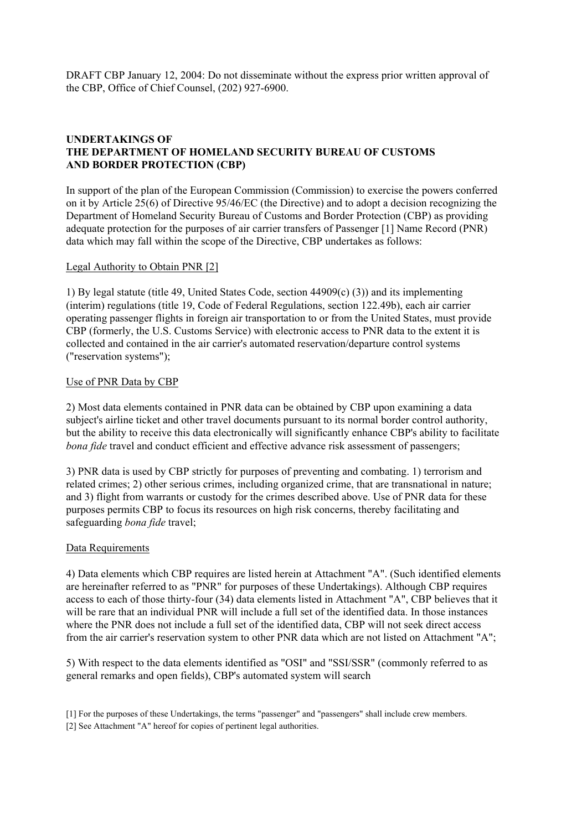# **UNDERTAKINGS OF THE DEPARTMENT OF HOMELAND SECURITY BUREAU OF CUSTOMS AND BORDER PROTECTION (CBP)**

In support of the plan of the European Commission (Commission) to exercise the powers conferred on it by Article 25(6) of Directive 95/46/EC (the Directive) and to adopt a decision recognizing the Department of Homeland Security Bureau of Customs and Border Protection (CBP) as providing adequate protection for the purposes of air carrier transfers of Passenger [1] Name Record (PNR) data which may fall within the scope of the Directive, CBP undertakes as follows:

#### Legal Authority to Obtain PNR [2]

1) By legal statute (title 49, United States Code, section 44909(c) (3)) and its implementing (interim) regulations (title 19, Code of Federal Regulations, section 122.49b), each air carrier operating passenger flights in foreign air transportation to or from the United States, must provide CBP (formerly, the U.S. Customs Service) with electronic access to PNR data to the extent it is collected and contained in the air carrier's automated reservation/departure control systems ("reservation systems");

#### Use of PNR Data by CBP

2) Most data elements contained in PNR data can be obtained by CBP upon examining a data subject's airline ticket and other travel documents pursuant to its normal border control authority, but the ability to receive this data electronically will significantly enhance CBP's ability to facilitate *bona fide* travel and conduct efficient and effective advance risk assessment of passengers;

3) PNR data is used by CBP strictly for purposes of preventing and combating. 1) terrorism and related crimes; 2) other serious crimes, including organized crime, that are transnational in nature; and 3) flight from warrants or custody for the crimes described above. Use of PNR data for these purposes permits CBP to focus its resources on high risk concerns, thereby facilitating and safeguarding *bona fide* travel;

### Data Requirements

4) Data elements which CBP requires are listed herein at Attachment "A". (Such identified elements are hereinafter referred to as "PNR" for purposes of these Undertakings). Although CBP requires access to each of those thirty-four (34) data elements listed in Attachment "A", CBP believes that it will be rare that an individual PNR will include a full set of the identified data. In those instances where the PNR does not include a full set of the identified data, CBP will not seek direct access from the air carrier's reservation system to other PNR data which are not listed on Attachment "A";

5) With respect to the data elements identified as "OSI" and "SSI/SSR" (commonly referred to as general remarks and open fields), CBP's automated system will search

<sup>[1]</sup> For the purposes of these Undertakings, the terms "passenger" and "passengers" shall include crew members.

<sup>[2]</sup> See Attachment "A" hereof for copies of pertinent legal authorities.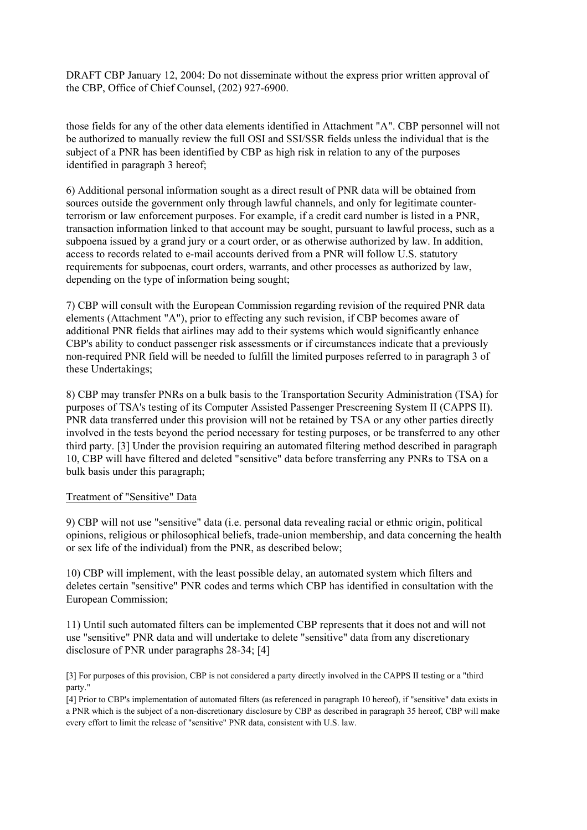those fields for any of the other data elements identified in Attachment "A". CBP personnel will not be authorized to manually review the full OSI and SSI/SSR fields unless the individual that is the subject of a PNR has been identified by CBP as high risk in relation to any of the purposes identified in paragraph 3 hereof;

6) Additional personal information sought as a direct result of PNR data will be obtained from sources outside the government only through lawful channels, and only for legitimate counterterrorism or law enforcement purposes. For example, if a credit card number is listed in a PNR, transaction information linked to that account may be sought, pursuant to lawful process, such as a subpoena issued by a grand jury or a court order, or as otherwise authorized by law. In addition, access to records related to e-mail accounts derived from a PNR will follow U.S. statutory requirements for subpoenas, court orders, warrants, and other processes as authorized by law, depending on the type of information being sought;

7) CBP will consult with the European Commission regarding revision of the required PNR data elements (Attachment "A"), prior to effecting any such revision, if CBP becomes aware of additional PNR fields that airlines may add to their systems which would significantly enhance CBP's ability to conduct passenger risk assessments or if circumstances indicate that a previously non-required PNR field will be needed to fulfill the limited purposes referred to in paragraph 3 of these Undertakings;

8) CBP may transfer PNRs on a bulk basis to the Transportation Security Administration (TSA) for purposes of TSA's testing of its Computer Assisted Passenger Prescreening System II (CAPPS II). PNR data transferred under this provision will not be retained by TSA or any other parties directly involved in the tests beyond the period necessary for testing purposes, or be transferred to any other third party. [3] Under the provision requiring an automated filtering method described in paragraph 10, CBP will have filtered and deleted "sensitive" data before transferring any PNRs to TSA on a bulk basis under this paragraph;

### Treatment of "Sensitive" Data

9) CBP will not use "sensitive" data (i.e. personal data revealing racial or ethnic origin, political opinions, religious or philosophical beliefs, trade-union membership, and data concerning the health or sex life of the individual) from the PNR, as described below;

10) CBP will implement, with the least possible delay, an automated system which filters and deletes certain "sensitive" PNR codes and terms which CBP has identified in consultation with the European Commission;

11) Until such automated filters can be implemented CBP represents that it does not and will not use "sensitive" PNR data and will undertake to delete "sensitive" data from any discretionary disclosure of PNR under paragraphs 28-34; [4]

[3] For purposes of this provision, CBP is not considered a party directly involved in the CAPPS II testing or a "third party."

[4] Prior to CBP's implementation of automated filters (as referenced in paragraph 10 hereof), if "sensitive" data exists in a PNR which is the subject of a non-discretionary disclosure by CBP as described in paragraph 35 hereof, CBP will make every effort to limit the release of "sensitive" PNR data, consistent with U.S. law.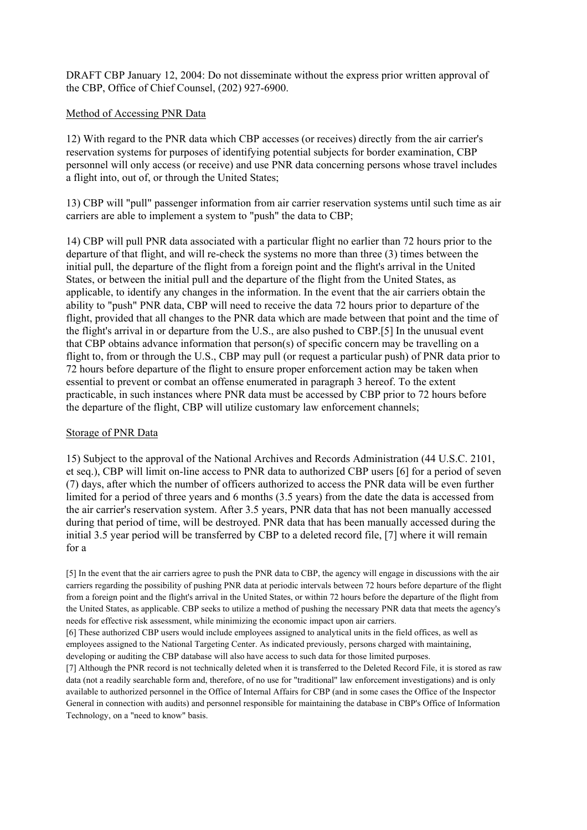#### Method of Accessing PNR Data

12) With regard to the PNR data which CBP accesses (or receives) directly from the air carrier's reservation systems for purposes of identifying potential subjects for border examination, CBP personnel will only access (or receive) and use PNR data concerning persons whose travel includes a flight into, out of, or through the United States;

13) CBP will "pull" passenger information from air carrier reservation systems until such time as air carriers are able to implement a system to "push" the data to CBP;

14) CBP will pull PNR data associated with a particular flight no earlier than 72 hours prior to the departure of that flight, and will re-check the systems no more than three (3) times between the initial pull, the departure of the flight from a foreign point and the flight's arrival in the United States, or between the initial pull and the departure of the flight from the United States, as applicable, to identify any changes in the information. In the event that the air carriers obtain the ability to "push" PNR data, CBP will need to receive the data 72 hours prior to departure of the flight, provided that all changes to the PNR data which are made between that point and the time of the flight's arrival in or departure from the U.S., are also pushed to CBP.[5] In the unusual event that CBP obtains advance information that person(s) of specific concern may be travelling on a flight to, from or through the U.S., CBP may pull (or request a particular push) of PNR data prior to 72 hours before departure of the flight to ensure proper enforcement action may be taken when essential to prevent or combat an offense enumerated in paragraph 3 hereof. To the extent practicable, in such instances where PNR data must be accessed by CBP prior to 72 hours before the departure of the flight, CBP will utilize customary law enforcement channels;

#### Storage of PNR Data

15) Subject to the approval of the National Archives and Records Administration (44 U.S.C. 2101, et seq.), CBP will limit on-line access to PNR data to authorized CBP users [6] for a period of seven (7) days, after which the number of officers authorized to access the PNR data will be even further limited for a period of three years and 6 months (3.5 years) from the date the data is accessed from the air carrier's reservation system. After 3.5 years, PNR data that has not been manually accessed during that period of time, will be destroyed. PNR data that has been manually accessed during the initial 3.5 year period will be transferred by CBP to a deleted record file, [7] where it will remain for a

[5] In the event that the air carriers agree to push the PNR data to CBP, the agency will engage in discussions with the air carriers regarding the possibility of pushing PNR data at periodic intervals between 72 hours before departure of the flight from a foreign point and the flight's arrival in the United States, or within 72 hours before the departure of the flight from the United States, as applicable. CBP seeks to utilize a method of pushing the necessary PNR data that meets the agency's needs for effective risk assessment, while minimizing the economic impact upon air carriers.

[6] These authorized CBP users would include employees assigned to analytical units in the field offices, as well as employees assigned to the National Targeting Center. As indicated previously, persons charged with maintaining, developing or auditing the CBP database will also have access to such data for those limited purposes.

[7] Although the PNR record is not technically deleted when it is transferred to the Deleted Record File, it is stored as raw data (not a readily searchable form and, therefore, of no use for "traditional" law enforcement investigations) and is only available to authorized personnel in the Office of Internal Affairs for CBP (and in some cases the Office of the Inspector General in connection with audits) and personnel responsible for maintaining the database in CBP's Office of Information Technology, on a "need to know" basis.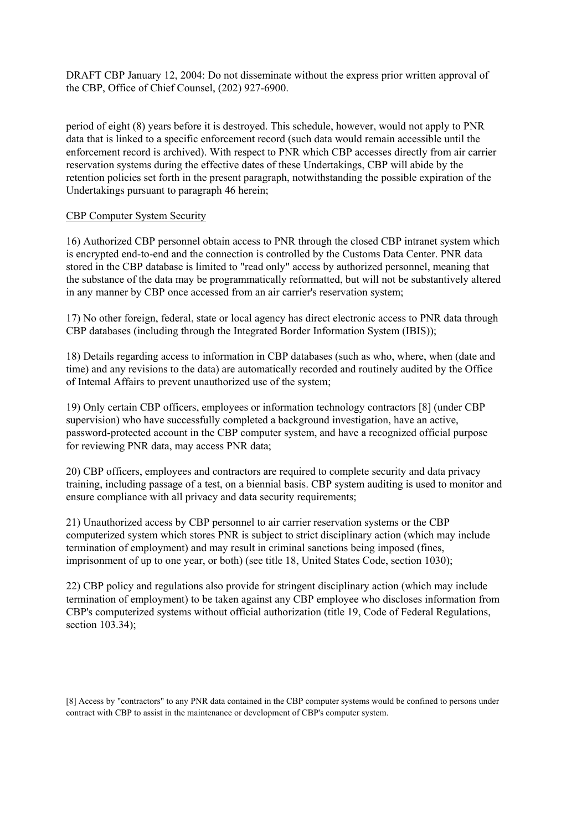period of eight (8) years before it is destroyed. This schedule, however, would not apply to PNR data that is linked to a specific enforcement record (such data would remain accessible until the enforcement record is archived). With respect to PNR which CBP accesses directly from air carrier reservation systems during the effective dates of these Undertakings, CBP will abide by the retention policies set forth in the present paragraph, notwithstanding the possible expiration of the Undertakings pursuant to paragraph 46 herein;

### CBP Computer System Security

16) Authorized CBP personnel obtain access to PNR through the closed CBP intranet system which is encrypted end-to-end and the connection is controlled by the Customs Data Center. PNR data stored in the CBP database is limited to "read only" access by authorized personnel, meaning that the substance of the data may be programmatically reformatted, but will not be substantively altered in any manner by CBP once accessed from an air carrier's reservation system;

17) No other foreign, federal, state or local agency has direct electronic access to PNR data through CBP databases (including through the Integrated Border Information System (IBIS));

18) Details regarding access to information in CBP databases (such as who, where, when (date and time) and any revisions to the data) are automatically recorded and routinely audited by the Office of Intemal Affairs to prevent unauthorized use of the system;

19) Only certain CBP officers, employees or information technology contractors [8] (under CBP supervision) who have successfully completed a background investigation, have an active, password-protected account in the CBP computer system, and have a recognized official purpose for reviewing PNR data, may access PNR data;

20) CBP officers, employees and contractors are required to complete security and data privacy training, including passage of a test, on a biennial basis. CBP system auditing is used to monitor and ensure compliance with all privacy and data security requirements;

21) Unauthorized access by CBP personnel to air carrier reservation systems or the CBP computerized system which stores PNR is subject to strict disciplinary action (which may include termination of employment) and may result in criminal sanctions being imposed (fines, imprisonment of up to one year, or both) (see title 18, United States Code, section 1030);

22) CBP policy and regulations also provide for stringent disciplinary action (which may include termination of employment) to be taken against any CBP employee who discloses information from CBP's computerized systems without official authorization (title 19, Code of Federal Regulations, section 103.34);

[8] Access by "contractors" to any PNR data contained in the CBP computer systems would be confined to persons under contract with CBP to assist in the maintenance or development of CBP's computer system.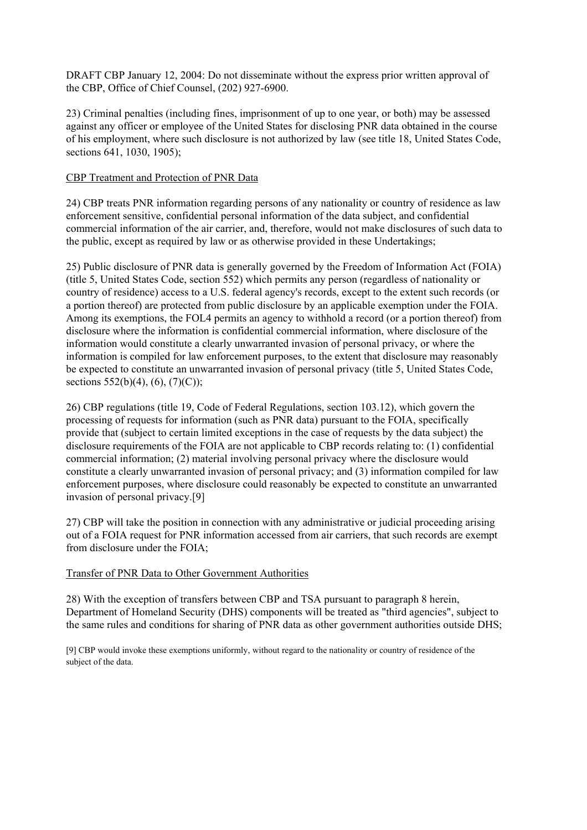23) Criminal penalties (including fines, imprisonment of up to one year, or both) may be assessed against any officer or employee of the United States for disclosing PNR data obtained in the course of his employment, where such disclosure is not authorized by law (see title 18, United States Code, sections 641, 1030, 1905);

### CBP Treatment and Protection of PNR Data

24) CBP treats PNR information regarding persons of any nationality or country of residence as law enforcement sensitive, confidential personal information of the data subject, and confidential commercial information of the air carrier, and, therefore, would not make disclosures of such data to the public, except as required by law or as otherwise provided in these Undertakings;

25) Public disclosure of PNR data is generally governed by the Freedom of Information Act (FOIA) (title 5, United States Code, section 552) which permits any person (regardless of nationality or country of residence) access to a U.S. federal agency's records, except to the extent such records (or a portion thereof) are protected from public disclosure by an applicable exemption under the FOIA. Among its exemptions, the FOL4 permits an agency to withhold a record (or a portion thereof) from disclosure where the information is confidential commercial information, where disclosure of the information would constitute a clearly unwarranted invasion of personal privacy, or where the information is compiled for law enforcement purposes, to the extent that disclosure may reasonably be expected to constitute an unwarranted invasion of personal privacy (title 5, United States Code, sections  $552(b)(4)$ ,  $(6)$ ,  $(7)(C)$ );

26) CBP regulations (title 19, Code of Federal Regulations, section 103.12), which govern the processing of requests for information (such as PNR data) pursuant to the FOIA, specifically provide that (subject to certain limited exceptions in the case of requests by the data subject) the disclosure requirements of the FOIA are not applicable to CBP records relating to: (1) confidential commercial information; (2) material involving personal privacy where the disclosure would constitute a clearly unwarranted invasion of personal privacy; and (3) information compiled for law enforcement purposes, where disclosure could reasonably be expected to constitute an unwarranted invasion of personal privacy.[9]

27) CBP will take the position in connection with any administrative or judicial proceeding arising out of a FOIA request for PNR information accessed from air carriers, that such records are exempt from disclosure under the FOIA;

# Transfer of PNR Data to Other Government Authorities

28) With the exception of transfers between CBP and TSA pursuant to paragraph 8 herein, Department of Homeland Security (DHS) components will be treated as "third agencies", subject to the same rules and conditions for sharing of PNR data as other government authorities outside DHS;

[9] CBP would invoke these exemptions uniformly, without regard to the nationality or country of residence of the subject of the data.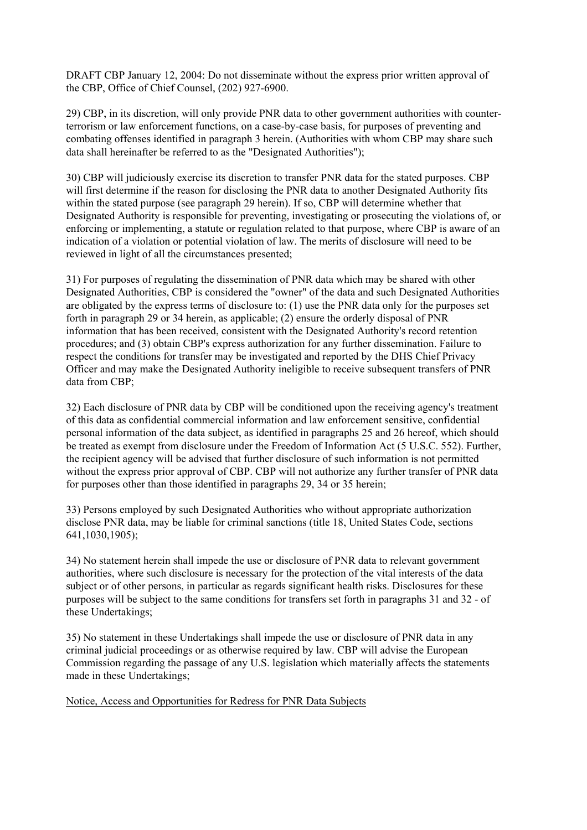29) CBP, in its discretion, will only provide PNR data to other government authorities with counterterrorism or law enforcement functions, on a case-by-case basis, for purposes of preventing and combating offenses identified in paragraph 3 herein. (Authorities with whom CBP may share such data shall hereinafter be referred to as the "Designated Authorities");

30) CBP will judiciously exercise its discretion to transfer PNR data for the stated purposes. CBP will first determine if the reason for disclosing the PNR data to another Designated Authority fits within the stated purpose (see paragraph 29 herein). If so, CBP will determine whether that Designated Authority is responsible for preventing, investigating or prosecuting the violations of, or enforcing or implementing, a statute or regulation related to that purpose, where CBP is aware of an indication of a violation or potential violation of law. The merits of disclosure will need to be reviewed in light of all the circumstances presented;

31) For purposes of regulating the dissemination of PNR data which may be shared with other Designated Authorities, CBP is considered the "owner" of the data and such Designated Authorities are obligated by the express terms of disclosure to: (1) use the PNR data only for the purposes set forth in paragraph 29 or 34 herein, as applicable; (2) ensure the orderly disposal of PNR information that has been received, consistent with the Designated Authority's record retention procedures; and (3) obtain CBP's express authorization for any further dissemination. Failure to respect the conditions for transfer may be investigated and reported by the DHS Chief Privacy Officer and may make the Designated Authority ineligible to receive subsequent transfers of PNR data from CBP;

32) Each disclosure of PNR data by CBP will be conditioned upon the receiving agency's treatment of this data as confidential commercial information and law enforcement sensitive, confidential personal information of the data subject, as identified in paragraphs 25 and 26 hereof, which should be treated as exempt from disclosure under the Freedom of Information Act (5 U.S.C. 552). Further, the recipient agency will be advised that further disclosure of such information is not permitted without the express prior approval of CBP. CBP will not authorize any further transfer of PNR data for purposes other than those identified in paragraphs 29, 34 or 35 herein;

33) Persons employed by such Designated Authorities who without appropriate authorization disclose PNR data, may be liable for criminal sanctions (title 18, United States Code, sections 641,1030,1905);

34) No statement herein shall impede the use or disclosure of PNR data to relevant government authorities, where such disclosure is necessary for the protection of the vital interests of the data subject or of other persons, in particular as regards significant health risks. Disclosures for these purposes will be subject to the same conditions for transfers set forth in paragraphs 31 and 32 - of these Undertakings;

35) No statement in these Undertakings shall impede the use or disclosure of PNR data in any criminal judicial proceedings or as otherwise required by law. CBP will advise the European Commission regarding the passage of any U.S. legislation which materially affects the statements made in these Undertakings;

Notice, Access and Opportunities for Redress for PNR Data Subjects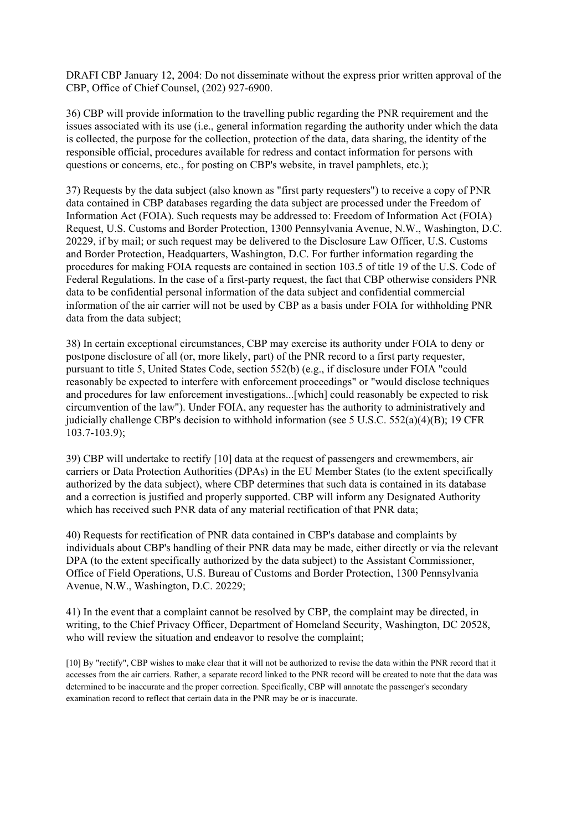36) CBP will provide information to the travelling public regarding the PNR requirement and the issues associated with its use (i.e., general information regarding the authority under which the data is collected, the purpose for the collection, protection of the data, data sharing, the identity of the responsible official, procedures available for redress and contact information for persons with questions or concerns, etc., for posting on CBP's website, in travel pamphlets, etc.);

37) Requests by the data subject (also known as "first party requesters") to receive a copy of PNR data contained in CBP databases regarding the data subject are processed under the Freedom of Information Act (FOIA). Such requests may be addressed to: Freedom of Information Act (FOIA) Request, U.S. Customs and Border Protection, 1300 Pennsylvania Avenue, N.W., Washington, D.C. 20229, if by mail; or such request may be delivered to the Disclosure Law Officer, U.S. Customs and Border Protection, Headquarters, Washington, D.C. For further information regarding the procedures for making FOIA requests are contained in section 103.5 of title 19 of the U.S. Code of Federal Regulations. In the case of a first-party request, the fact that CBP otherwise considers PNR data to be confidential personal information of the data subject and confidential commercial information of the air carrier will not be used by CBP as a basis under FOIA for withholding PNR data from the data subject;

38) In certain exceptional circumstances, CBP may exercise its authority under FOIA to deny or postpone disclosure of all (or, more likely, part) of the PNR record to a first party requester, pursuant to title 5, United States Code, section 552(b) (e.g., if disclosure under FOIA "could reasonably be expected to interfere with enforcement proceedings" or "would disclose techniques and procedures for law enforcement investigations...[which] could reasonably be expected to risk circumvention of the law"). Under FOIA, any requester has the authority to administratively and judicially challenge CBP's decision to withhold information (see 5 U.S.C. 552(a)(4)(B); 19 CFR 103.7-103.9);

39) CBP will undertake to rectify [10] data at the request of passengers and crewmembers, air carriers or Data Protection Authorities (DPAs) in the EU Member States (to the extent specifically authorized by the data subject), where CBP determines that such data is contained in its database and a correction is justified and properly supported. CBP will inform any Designated Authority which has received such PNR data of any material rectification of that PNR data;

40) Requests for rectification of PNR data contained in CBP's database and complaints by individuals about CBP's handling of their PNR data may be made, either directly or via the relevant DPA (to the extent specifically authorized by the data subject) to the Assistant Commissioner, Office of Field Operations, U.S. Bureau of Customs and Border Protection, 1300 Pennsylvania Avenue, N.W., Washington, D.C. 20229;

41) In the event that a complaint cannot be resolved by CBP, the complaint may be directed, in writing, to the Chief Privacy Officer, Department of Homeland Security, Washington, DC 20528, who will review the situation and endeavor to resolve the complaint;

[10] By "rectify", CBP wishes to make clear that it will not be authorized to revise the data within the PNR record that it accesses from the air carriers. Rather, a separate record linked to the PNR record will be created to note that the data was determined to be inaccurate and the proper correction. Specifically, CBP will annotate the passenger's secondary examination record to reflect that certain data in the PNR may be or is inaccurate.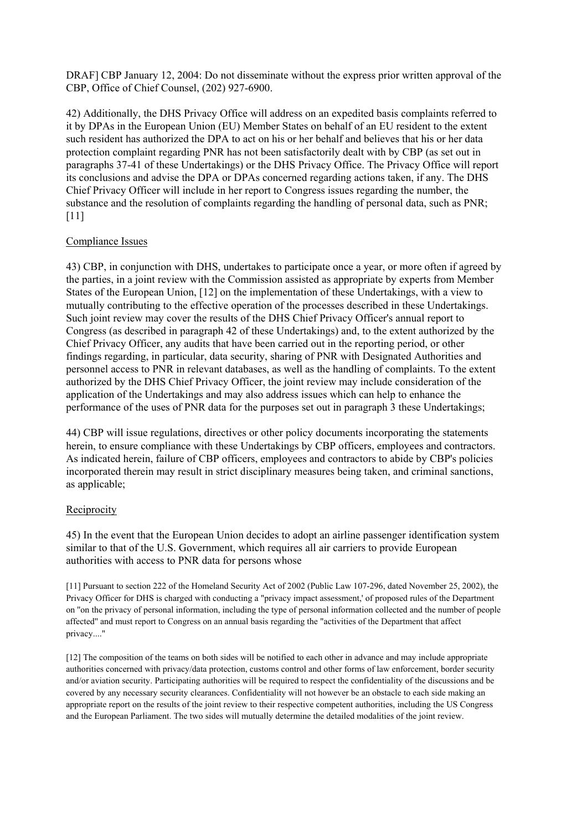42) Additionally, the DHS Privacy Office will address on an expedited basis complaints referred to it by DPAs in the European Union (EU) Member States on behalf of an EU resident to the extent such resident has authorized the DPA to act on his or her behalf and believes that his or her data protection complaint regarding PNR has not been satisfactorily dealt with by CBP (as set out in paragraphs 37-41 of these Undertakings) or the DHS Privacy Office. The Privacy Office will report its conclusions and advise the DPA or DPAs concerned regarding actions taken, if any. The DHS Chief Privacy Officer will include in her report to Congress issues regarding the number, the substance and the resolution of complaints regarding the handling of personal data, such as PNR; [11]

### Compliance Issues

43) CBP, in conjunction with DHS, undertakes to participate once a year, or more often if agreed by the parties, in a joint review with the Commission assisted as appropriate by experts from Member States of the European Union, [12] on the implementation of these Undertakings, with a view to mutually contributing to the effective operation of the processes described in these Undertakings. Such joint review may cover the results of the DHS Chief Privacy Officer's annual report to Congress (as described in paragraph 42 of these Undertakings) and, to the extent authorized by the Chief Privacy Officer, any audits that have been carried out in the reporting period, or other findings regarding, in particular, data security, sharing of PNR with Designated Authorities and personnel access to PNR in relevant databases, as well as the handling of complaints. To the extent authorized by the DHS Chief Privacy Officer, the joint review may include consideration of the application of the Undertakings and may also address issues which can help to enhance the performance of the uses of PNR data for the purposes set out in paragraph 3 these Undertakings;

44) CBP will issue regulations, directives or other policy documents incorporating the statements herein, to ensure compliance with these Undertakings by CBP officers, employees and contractors. As indicated herein, failure of CBP officers, employees and contractors to abide by CBP's policies incorporated therein may result in strict disciplinary measures being taken, and criminal sanctions, as applicable;

# Reciprocity

45) In the event that the European Union decides to adopt an airline passenger identification system similar to that of the U.S. Government, which requires all air carriers to provide European authorities with access to PNR data for persons whose

[11] Pursuant to section 222 of the Homeland Security Act of 2002 (Public Law 107-296, dated November 25, 2002), the Privacy Officer for DHS is charged with conducting a "privacy impact assessment,' of proposed rules of the Department on ''on the privacy of personal information, including the type of personal information collected and the number of people affected'' and must report to Congress on an annual basis regarding the "activities of the Department that affect privacy...."

[12] The composition of the teams on both sides will be notified to each other in advance and may include appropriate authorities concerned with privacy/data protection, customs control and other forms of law enforcement, border security and/or aviation security. Participating authorities will be required to respect the confidentiality of the discussions and be covered by any necessary security clearances. Confidentiality will not however be an obstacle to each side making an appropriate report on the results of the joint review to their respective competent authorities, including the US Congress and the European Parliament. The two sides will mutually determine the detailed modalities of the joint review.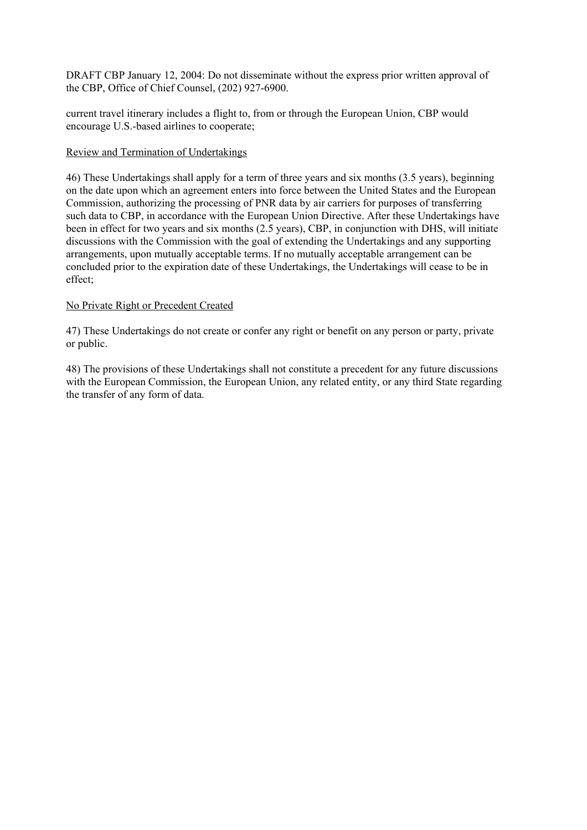current travel itinerary includes a flight to, from or through the European Union, CBP would encourage U.S.-based airlines to cooperate;

# Review and Termination of Undertakings

46) These Undertakings shall apply for a term of three years and six months (3.5 years), beginning on the date upon which an agreement enters into force between the United States and the European Commission, authorizing the processing of PNR data by air carriers for purposes of transferring such data to CBP, in accordance with the European Union Directive. After these Undertakings have been in effect for two years and six months (2.5 years), CBP, in conjunction with DHS, will initiate discussions with the Commission with the goal of extending the Undertakings and any supporting arrangements, upon mutually acceptable terms. If no mutually acceptable arrangement can be concluded prior to the expiration date of these Undertakings, the Undertakings will cease to be in effect;

### No Private Right or Precedent Created

47) These Undertakings do not create or confer any right or benefit on any person or party, private or public.

48) The provisions of these Undertakings shall not constitute a precedent for any future discussions with the European Commission, the European Union, any related entity, or any third State regarding the transfer of any form of data.